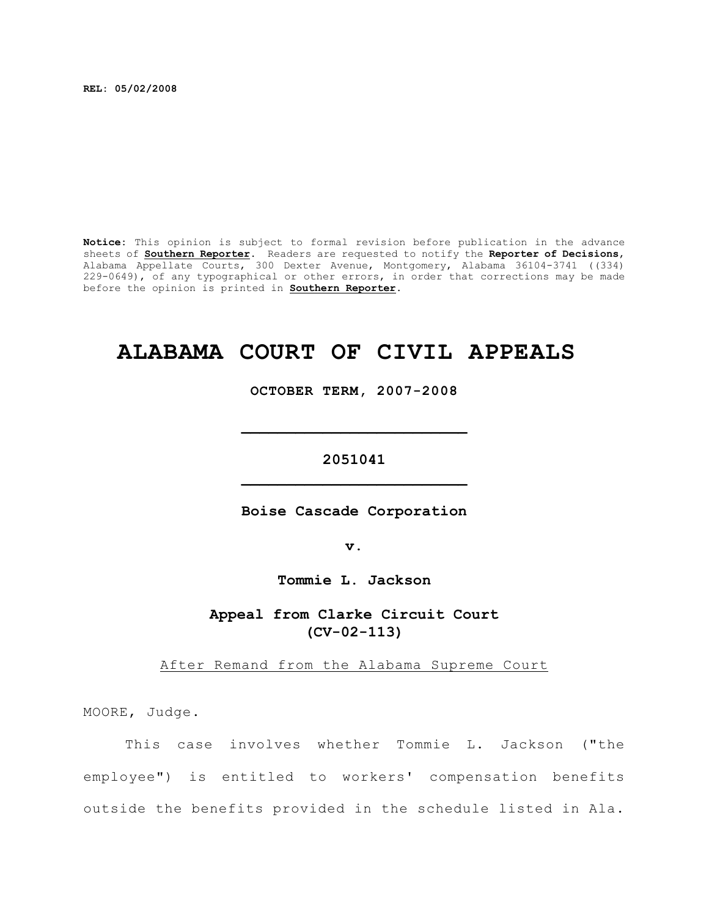**REL: 05/02/2008**

**Notice:** This opinion is subject to formal revision before publication in the advance sheets of **Southern Reporter**. Readers are requested to notify the **Reporter of Decisions**, Alabama Appellate Courts, 300 Dexter Avenue, Montgomery, Alabama 36104-3741 ((334) 229-0649), of any typographical or other errors, in order that corrections may be made before the opinion is printed in **Southern Reporter**.

# **ALABAMA COURT OF CIVIL APPEALS**

**OCTOBER TERM, 2007-2008**

**\_\_\_\_\_\_\_\_\_\_\_\_\_\_\_\_\_\_\_\_\_\_\_\_\_**

# **2051041 \_\_\_\_\_\_\_\_\_\_\_\_\_\_\_\_\_\_\_\_\_\_\_\_\_**

**Boise Cascade Corporation**

**v.**

**Tommie L. Jackson**

**Appeal from Clarke Circuit Court (CV-02-113)**

After Remand from the Alabama Supreme Court

MOORE, Judge.

This case involves whether Tommie L. Jackson ("the employee") is entitled to workers' compensation benefits outside the benefits provided in the schedule listed in Ala.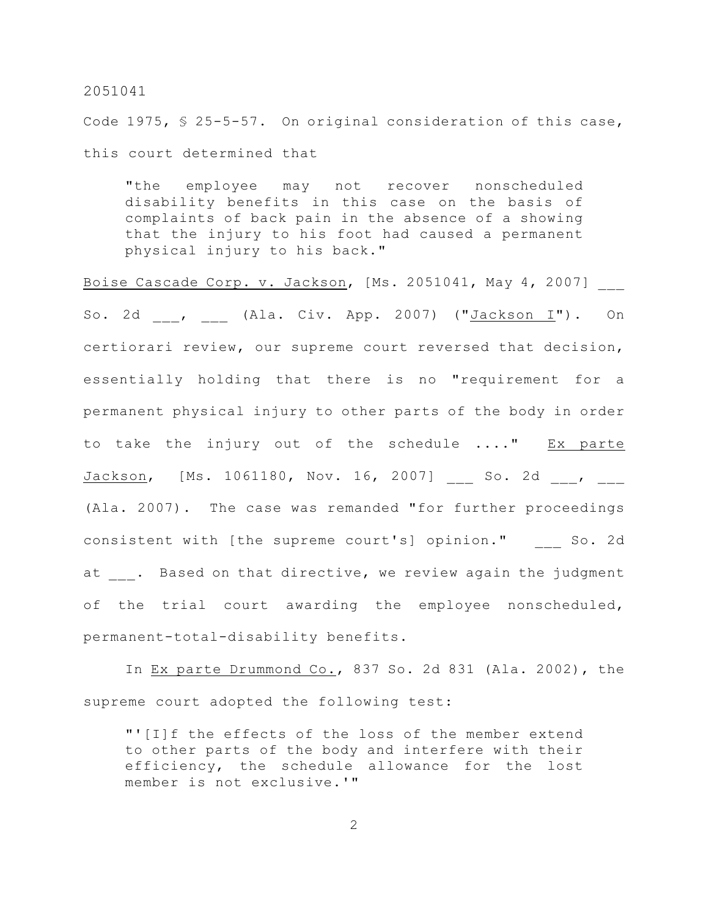Code 1975, § 25-5-57. On original consideration of this case, this court determined that

"the employee may not recover nonscheduled disability benefits in this case on the basis of complaints of back pain in the absence of a showing that the injury to his foot had caused a permanent physical injury to his back."

Boise Cascade Corp. v. Jackson, [Ms. 2051041, May 4, 2007] So. 2d , (Ala. Civ. App. 2007) ("Jackson I"). On certiorari review, our supreme court reversed that decision, essentially holding that there is no "requirement for a permanent physical injury to other parts of the body in order to take the injury out of the schedule ...." Ex parte Jackson, [Ms. 1061180, Nov. 16, 2007] \_\_\_ So. 2d \_\_\_, \_\_\_ (Ala. 2007). The case was remanded "for further proceedings consistent with [the supreme court's] opinion." So. 2d at . Based on that directive, we review again the judgment of the trial court awarding the employee nonscheduled, permanent-total-disability benefits.

In Ex parte Drummond Co., 837 So. 2d 831 (Ala. 2002), the supreme court adopted the following test:

"'[I]f the effects of the loss of the member extend to other parts of the body and interfere with their efficiency, the schedule allowance for the lost member is not exclusive.'"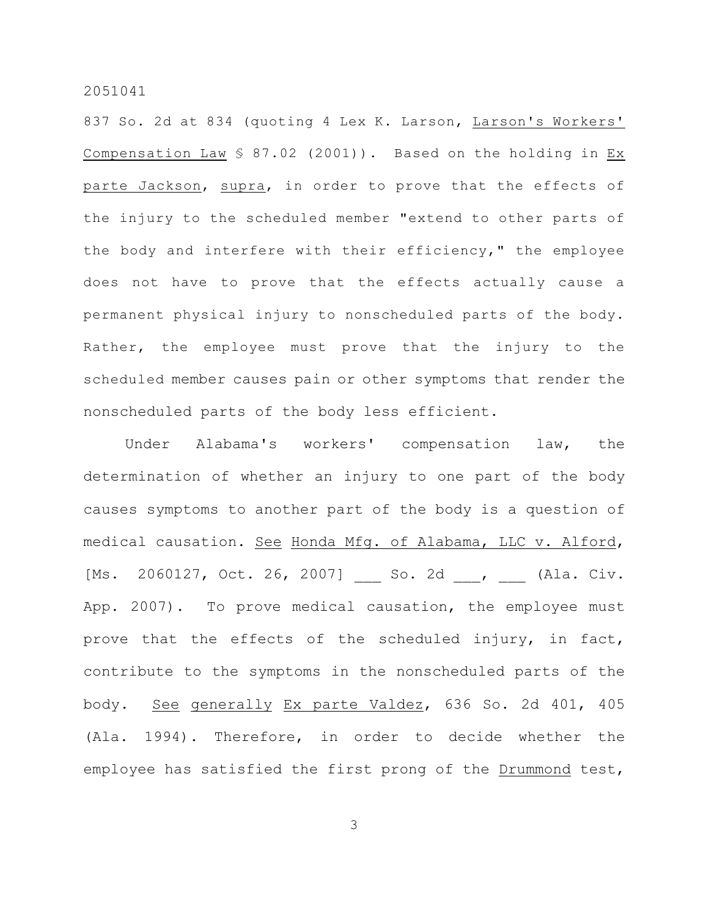837 So. 2d at 834 (quoting 4 Lex K. Larson, Larson's Workers' Compensation Law § 87.02 (2001)). Based on the holding in Ex parte Jackson, supra, in order to prove that the effects of the injury to the scheduled member "extend to other parts of the body and interfere with their efficiency," the employee does not have to prove that the effects actually cause a permanent physical injury to nonscheduled parts of the body. Rather, the employee must prove that the injury to the scheduled member causes pain or other symptoms that render the nonscheduled parts of the body less efficient.

Under Alabama's workers' compensation law, the determination of whether an injury to one part of the body causes symptoms to another part of the body is a question of medical causation. See Honda Mfg. of Alabama, LLC v. Alford, [Ms. 2060127, Oct. 26, 2007] So. 2d , (Ala. Civ. App. 2007). To prove medical causation, the employee must prove that the effects of the scheduled injury, in fact, contribute to the symptoms in the nonscheduled parts of the body. See generally Ex parte Valdez, 636 So. 2d 401, 405 (Ala. 1994). Therefore, in order to decide whether the employee has satisfied the first prong of the Drummond test,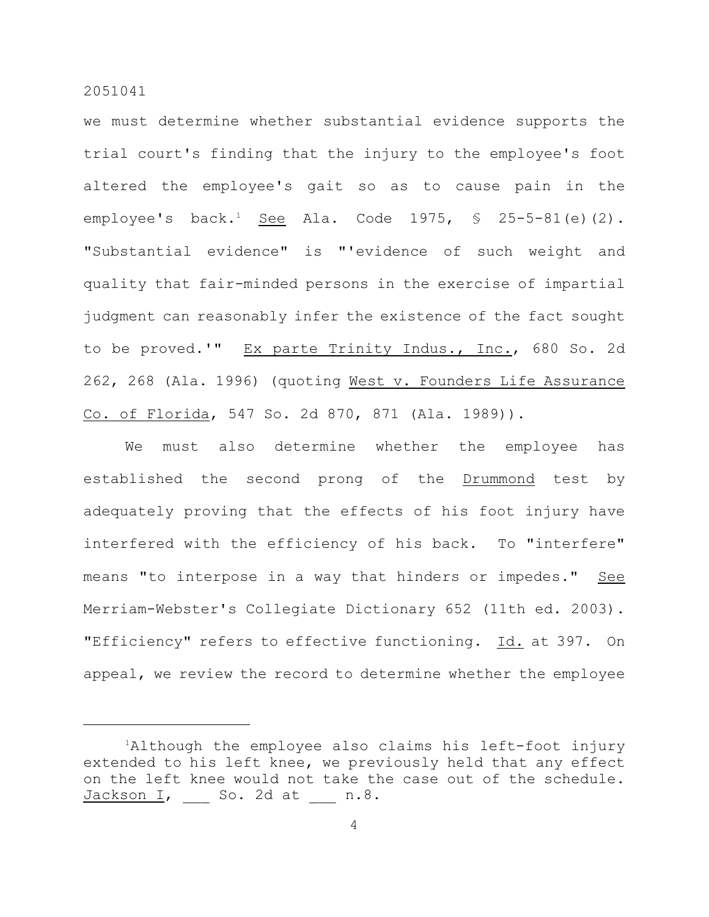we must determine whether substantial evidence supports the trial court's finding that the injury to the employee's foot altered the employee's gait so as to cause pain in the employee's back.<sup>1</sup> See Ala. Code 1975,  $\frac{1}{5}$  25-5-81(e)(2). "Substantial evidence" is "'evidence of such weight and quality that fair-minded persons in the exercise of impartial judgment can reasonably infer the existence of the fact sought to be proved.'" Ex parte Trinity Indus., Inc., 680 So. 2d 262, 268 (Ala. 1996) (quoting West v. Founders Life Assurance Co. of Florida, 547 So. 2d 870, 871 (Ala. 1989)).

We must also determine whether the employee has established the second prong of the Drummond test by adequately proving that the effects of his foot injury have interfered with the efficiency of his back. To "interfere" means "to interpose in a way that hinders or impedes." See Merriam-Webster's Collegiate Dictionary 652 (11th ed. 2003). "Efficiency" refers to effective functioning. Id. at 397. On appeal, we review the record to determine whether the employee

 ${}^{1}$ Although the employee also claims his left-foot injury extended to his left knee, we previously held that any effect on the left knee would not take the case out of the schedule.  $Jackson I$ ,  $S$ o. 2d at  $n.8$ .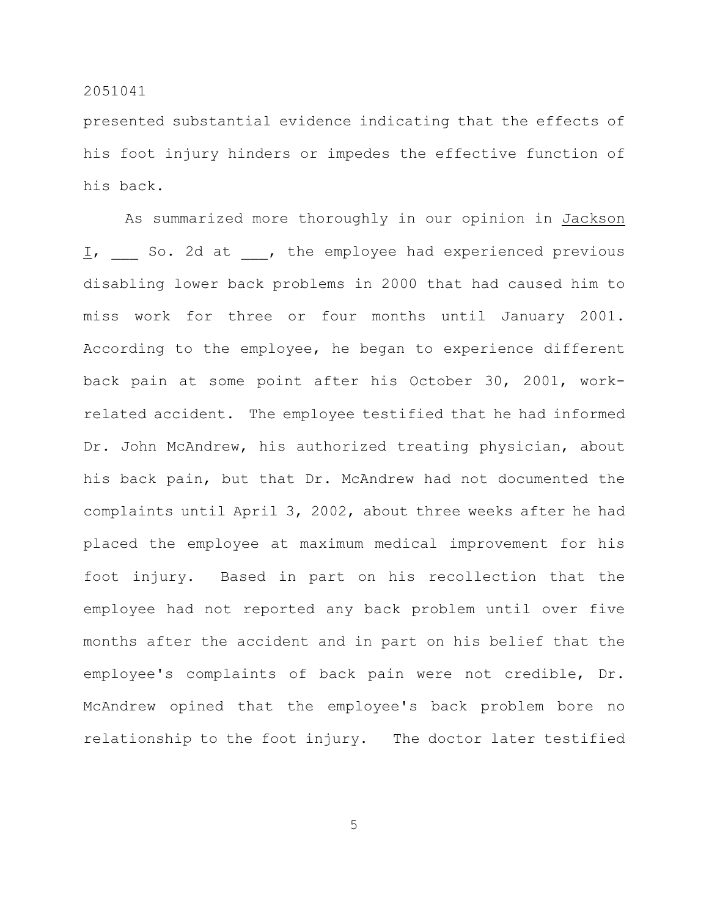presented substantial evidence indicating that the effects of his foot injury hinders or impedes the effective function of his back.

As summarized more thoroughly in our opinion in Jackson I, So. 2d at , the employee had experienced previous disabling lower back problems in 2000 that had caused him to miss work for three or four months until January 2001. According to the employee, he began to experience different back pain at some point after his October 30, 2001, workrelated accident. The employee testified that he had informed Dr. John McAndrew, his authorized treating physician, about his back pain, but that Dr. McAndrew had not documented the complaints until April 3, 2002, about three weeks after he had placed the employee at maximum medical improvement for his foot injury. Based in part on his recollection that the employee had not reported any back problem until over five months after the accident and in part on his belief that the employee's complaints of back pain were not credible, Dr. McAndrew opined that the employee's back problem bore no relationship to the foot injury. The doctor later testified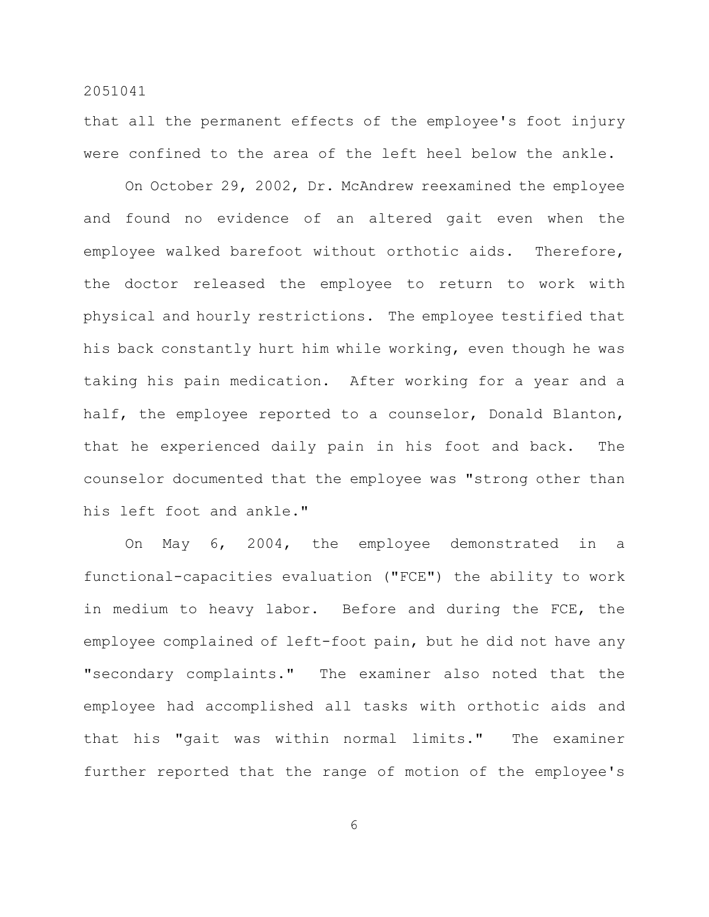that all the permanent effects of the employee's foot injury were confined to the area of the left heel below the ankle.

On October 29, 2002, Dr. McAndrew reexamined the employee and found no evidence of an altered gait even when the employee walked barefoot without orthotic aids. Therefore, the doctor released the employee to return to work with physical and hourly restrictions. The employee testified that his back constantly hurt him while working, even though he was taking his pain medication. After working for a year and a half, the employee reported to a counselor, Donald Blanton, that he experienced daily pain in his foot and back. The counselor documented that the employee was "strong other than his left foot and ankle."

On May 6, 2004, the employee demonstrated in a functional-capacities evaluation ("FCE") the ability to work in medium to heavy labor. Before and during the FCE, the employee complained of left-foot pain, but he did not have any "secondary complaints." The examiner also noted that the employee had accomplished all tasks with orthotic aids and that his "gait was within normal limits." The examiner further reported that the range of motion of the employee's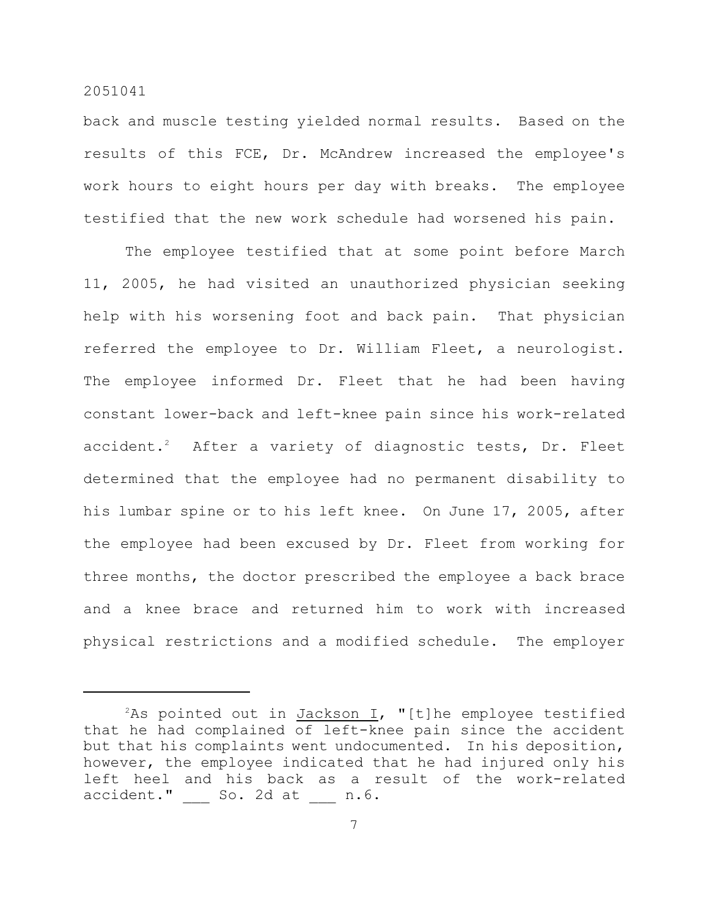back and muscle testing yielded normal results. Based on the results of this FCE, Dr. McAndrew increased the employee's work hours to eight hours per day with breaks. The employee testified that the new work schedule had worsened his pain.

The employee testified that at some point before March 11, 2005, he had visited an unauthorized physician seeking help with his worsening foot and back pain. That physician referred the employee to Dr. William Fleet, a neurologist. The employee informed Dr. Fleet that he had been having constant lower-back and left-knee pain since his work-related  $accident.^2$  After a variety of diagnostic tests, Dr. Fleet determined that the employee had no permanent disability to his lumbar spine or to his left knee. On June 17, 2005, after the employee had been excused by Dr. Fleet from working for three months, the doctor prescribed the employee a back brace and a knee brace and returned him to work with increased physical restrictions and a modified schedule. The employer

<sup>&</sup>lt;sup>2</sup>As pointed out in Jackson I, "[t]he employee testified that he had complained of left-knee pain since the accident but that his complaints went undocumented. In his deposition, however, the employee indicated that he had injured only his left heel and his back as a result of the work-related accident." \_\_\_ So. 2d at \_\_\_ n.6.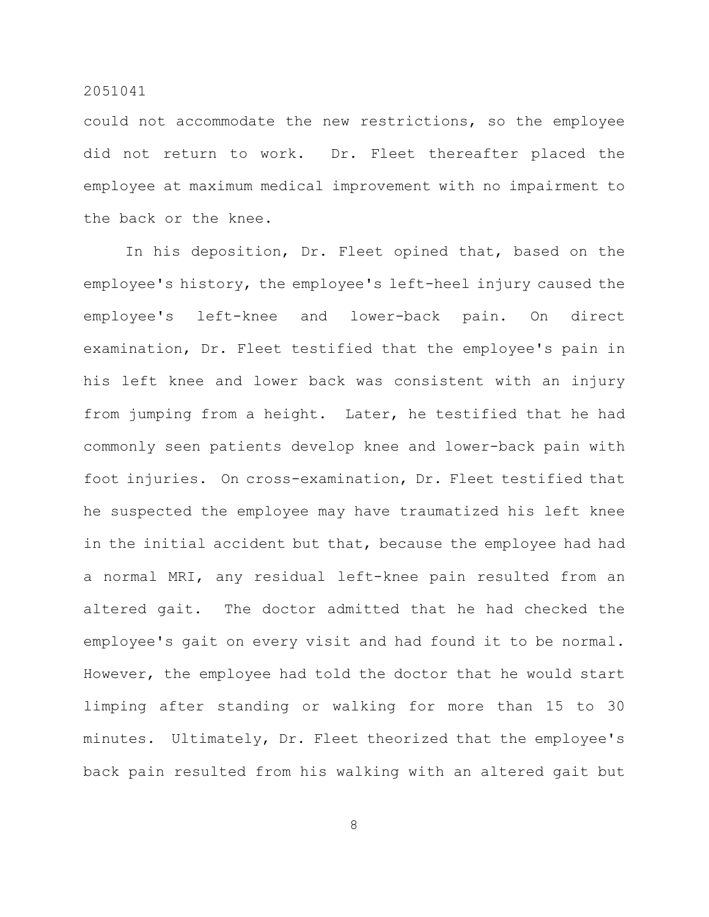could not accommodate the new restrictions, so the employee did not return to work. Dr. Fleet thereafter placed the employee at maximum medical improvement with no impairment to the back or the knee.

In his deposition, Dr. Fleet opined that, based on the employee's history, the employee's left-heel injury caused the employee's left-knee and lower-back pain. On direct examination, Dr. Fleet testified that the employee's pain in his left knee and lower back was consistent with an injury from jumping from a height. Later, he testified that he had commonly seen patients develop knee and lower-back pain with foot injuries. On cross-examination, Dr. Fleet testified that he suspected the employee may have traumatized his left knee in the initial accident but that, because the employee had had a normal MRI, any residual left-knee pain resulted from an altered gait. The doctor admitted that he had checked the employee's gait on every visit and had found it to be normal. However, the employee had told the doctor that he would start limping after standing or walking for more than 15 to 30 minutes. Ultimately, Dr. Fleet theorized that the employee's back pain resulted from his walking with an altered gait but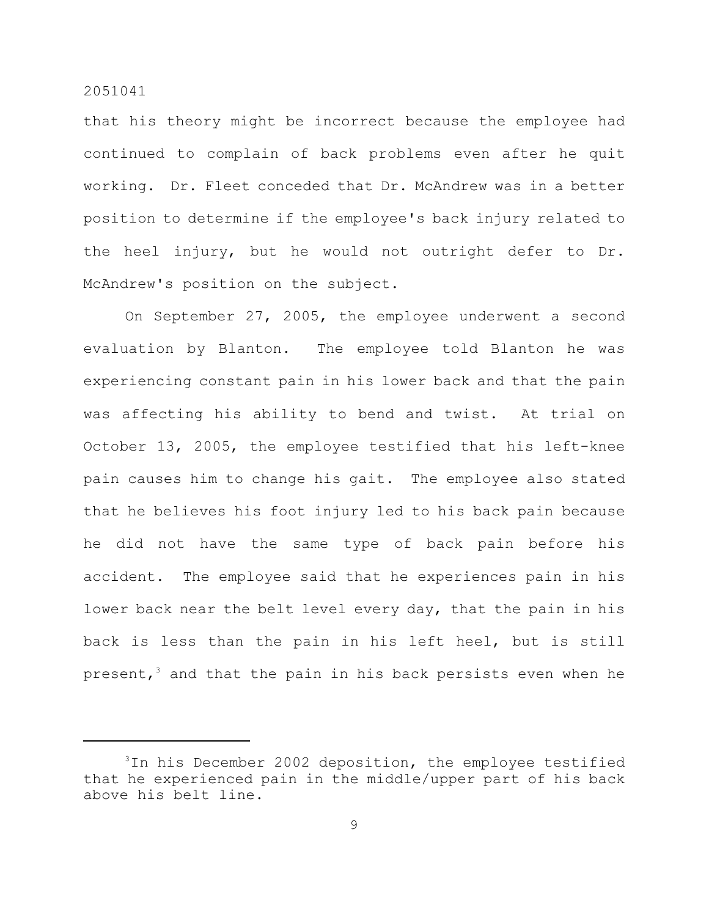that his theory might be incorrect because the employee had continued to complain of back problems even after he quit working. Dr. Fleet conceded that Dr. McAndrew was in a better position to determine if the employee's back injury related to the heel injury, but he would not outright defer to Dr. McAndrew's position on the subject.

On September 27, 2005, the employee underwent a second evaluation by Blanton. The employee told Blanton he was experiencing constant pain in his lower back and that the pain was affecting his ability to bend and twist. At trial on October 13, 2005, the employee testified that his left-knee pain causes him to change his gait. The employee also stated that he believes his foot injury led to his back pain because he did not have the same type of back pain before his accident. The employee said that he experiences pain in his lower back near the belt level every day, that the pain in his back is less than the pain in his left heel, but is still present, $^3$  and that the pain in his back persists even when he

 $3$ In his December 2002 deposition, the employee testified that he experienced pain in the middle/upper part of his back above his belt line.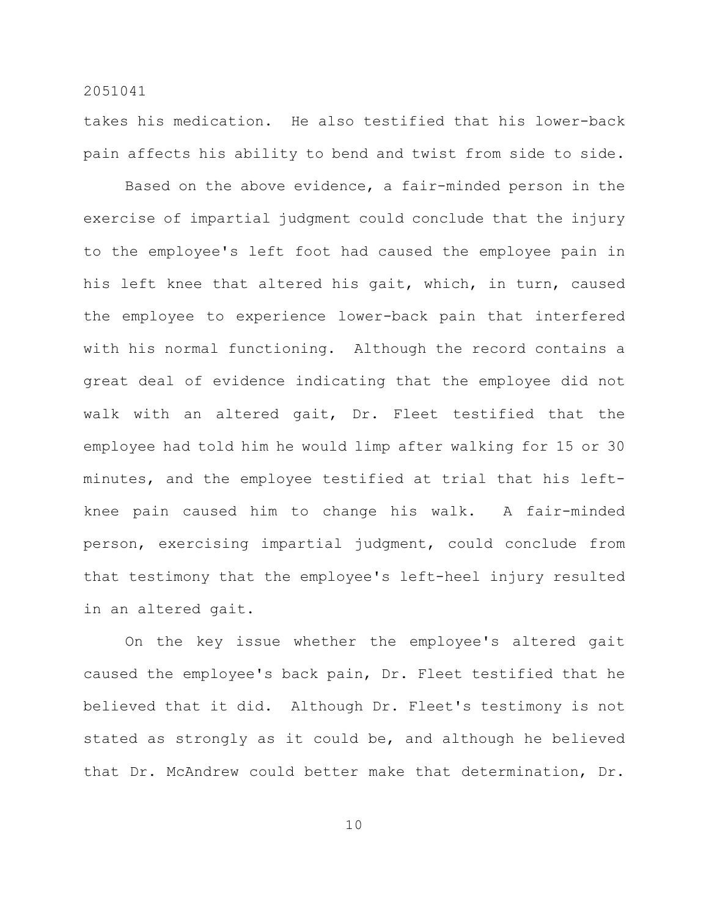takes his medication. He also testified that his lower-back pain affects his ability to bend and twist from side to side.

Based on the above evidence, a fair-minded person in the exercise of impartial judgment could conclude that the injury to the employee's left foot had caused the employee pain in his left knee that altered his gait, which, in turn, caused the employee to experience lower-back pain that interfered with his normal functioning. Although the record contains a great deal of evidence indicating that the employee did not walk with an altered gait, Dr. Fleet testified that the employee had told him he would limp after walking for 15 or 30 minutes, and the employee testified at trial that his leftknee pain caused him to change his walk. A fair-minded person, exercising impartial judgment, could conclude from that testimony that the employee's left-heel injury resulted in an altered gait.

On the key issue whether the employee's altered gait caused the employee's back pain, Dr. Fleet testified that he believed that it did. Although Dr. Fleet's testimony is not stated as strongly as it could be, and although he believed that Dr. McAndrew could better make that determination, Dr.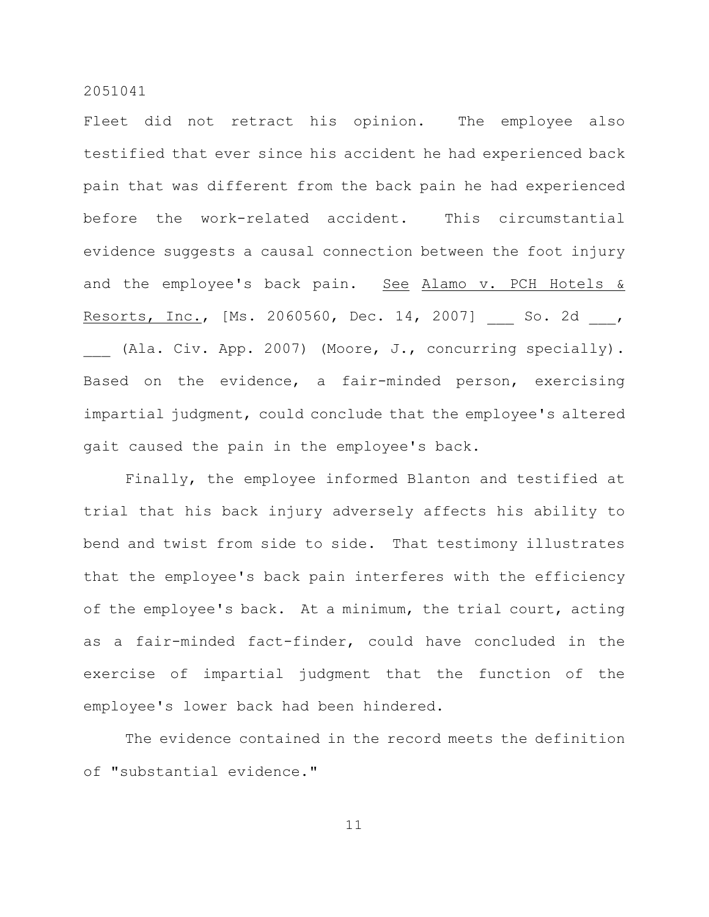Fleet did not retract his opinion. The employee also testified that ever since his accident he had experienced back pain that was different from the back pain he had experienced before the work-related accident. This circumstantial evidence suggests a causal connection between the foot injury and the employee's back pain. See Alamo v. PCH Hotels & Resorts, Inc., [Ms. 2060560, Dec. 14, 2007] So. 2d , (Ala. Civ. App. 2007) (Moore, J., concurring specially). Based on the evidence, a fair-minded person, exercising impartial judgment, could conclude that the employee's altered gait caused the pain in the employee's back.

Finally, the employee informed Blanton and testified at trial that his back injury adversely affects his ability to bend and twist from side to side. That testimony illustrates that the employee's back pain interferes with the efficiency of the employee's back. At a minimum, the trial court, acting as a fair-minded fact-finder, could have concluded in the exercise of impartial judgment that the function of the employee's lower back had been hindered.

The evidence contained in the record meets the definition of "substantial evidence."